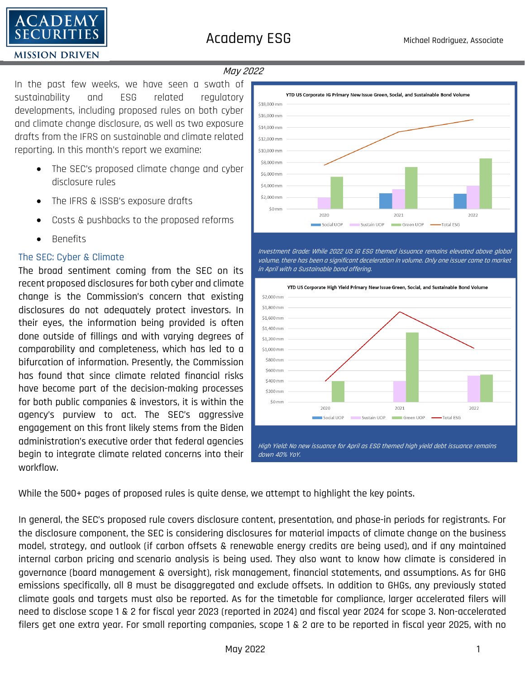

# May 2022

In the past few weeks, we have seen a swath of sustainability and ESG related regulatory developments, including proposed rules on both cyber and climate change disclosure, as well as two exposure drafts from the IFRS on sustainable and climate related reporting. In this month's report we examine:

- The SEC's proposed climate change and cyber disclosure rules
- The IFRS & ISSB's exposure drafts
- Costs & pushbacks to the proposed reforms
- Benefits

# The SEC: Cyber & Climate

The broad sentiment coming from the SEC on its recent proposed disclosures for both cyber and climate change is the Commission's concern that existing disclosures do not adequately protect investors. In their eyes, the information being provided is often done outside of fillings and with varying degrees of comparability and completeness, which has led to a bifurcation of information. Presently, the Commission has found that since climate related financial risks have become part of the decision-making processes for both public companies & investors, it is within the agency's purview to act. The SEC's aggressive engagement on this front likely stems from the Biden administration's executive order that federal agencies begin to integrate climate related concerns into their workflow.



Investment Grade: While 2022 US IG ESG themed issuance remains elevated above global volume, there has been a significant deceleration in volume. Only one issuer came to market in April with a Sustainable bond offering.



While the 500+ pages of proposed rules is quite dense, we attempt to highlight the key points.

In general, the SEC's proposed rule covers disclosure content, presentation, and phase-in periods for registrants. For the disclosure component, the SEC is considering disclosures for material impacts of climate change on the business model, strategy, and outlook (if carbon offsets & renewable energy credits are being used), and if any maintained internal carbon pricing and scenario analysis is being used. They also want to know how climate is considered in governance (board management & oversight), risk management, financial statements, and assumptions. As for GHG emissions specifically, all 8 must be disaggregated and exclude offsets. In addition to GHGs, any previously stated climate goals and targets must also be reported. As for the timetable for compliance, larger accelerated filers will need to disclose scope 1 & 2 for fiscal year 2023 (reported in 2024) and fiscal year 2024 for scope 3. Non-accelerated filers get one extra year. For small reporting companies, scope 1 & 2 are to be reported in fiscal year 2025, with no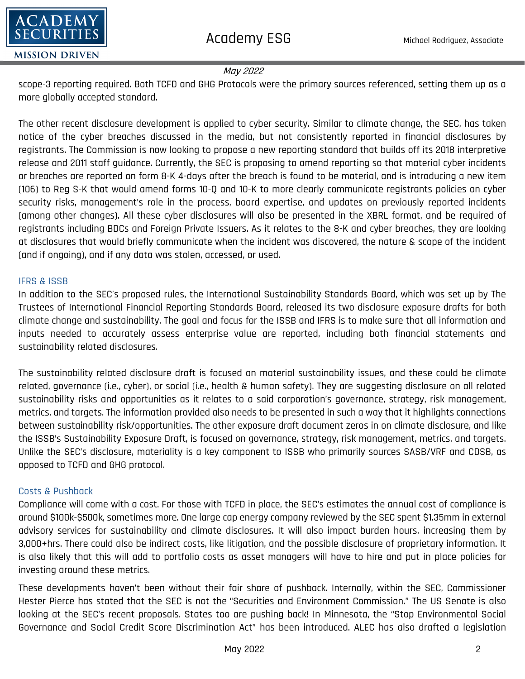

#### May 2022

scope-3 reporting required. Both TCFD and GHG Protocols were the primary sources referenced, setting them up as a more globally accepted standard.

The other recent disclosure development is applied to cyber security. Similar to climate change, the SEC, has taken notice of the cyber breaches discussed in the media, but not consistently reported in financial disclosures by registrants. The Commission is now looking to propose a new reporting standard that builds off its 2018 interpretive release and 2011 staff guidance. Currently, the SEC is proposing to amend reporting so that material cyber incidents or breaches are reported on form 8-K 4-days after the breach is found to be material, and is introducing a new item (106) to Reg S-K that would amend forms 10-Q and 10-K to more clearly communicate registrants policies on cyber security risks, management's role in the process, board expertise, and updates on previously reported incidents (among other changes). All these cyber disclosures will also be presented in the XBRL format, and be required of registrants including BDCs and Foreign Private Issuers. As it relates to the 8-K and cyber breaches, they are looking at disclosures that would briefly communicate when the incident was discovered, the nature & scope of the incident (and if ongoing), and if any data was stolen, accessed, or used.

## IFRS & ISSB

In addition to the SEC's proposed rules, the International Sustainability Standards Board, which was set up by The Trustees of International Financial Reporting Standards Board, released its two disclosure exposure drafts for both climate change and sustainability. The goal and focus for the ISSB and IFRS is to make sure that all information and inputs needed to accurately assess enterprise value are reported, including both financial statements and sustainability related disclosures.

The sustainability related disclosure draft is focused on material sustainability issues, and these could be climate related, governance (i.e., cyber), or social (i.e., health & human safety). They are suggesting disclosure on all related sustainability risks and opportunities as it relates to a said corporation's governance, strategy, risk management, metrics, and targets. The information provided also needs to be presented in such a way that it highlights connections between sustainability risk/opportunities. The other exposure draft document zeros in on climate disclosure, and like the ISSB's Sustainability Exposure Draft, is focused on governance, strategy, risk management, metrics, and targets. Unlike the SEC's disclosure, materiality is a key component to ISSB who primarily sources SASB/VRF and CDSB, as opposed to TCFD and GHG protocol.

## Costs & Pushback

Compliance will come with a cost. For those with TCFD in place, the SEC's estimates the annual cost of compliance is around \$100k-\$500k, sometimes more. One large cap energy company reviewed by the SEC spent \$1.35mm in external advisory services for sustainability and climate disclosures. It will also impact burden hours, increasing them by 3,000+hrs. There could also be indirect costs, like litigation, and the possible disclosure of proprietary information. It is also likely that this will add to portfolio costs as asset managers will have to hire and put in place policies for investing around these metrics.

These developments haven't been without their fair share of pushback. Internally, within the SEC, Commissioner Hester Pierce has stated that the SEC is not the "Securities and Environment Commission." The US Senate is also looking at the SEC's recent proposals. States too are pushing back! In Minnesota, the "Stop Environmental Social Governance and Social Credit Score Discrimination Act" has been introduced. ALEC has also drafted a legislation